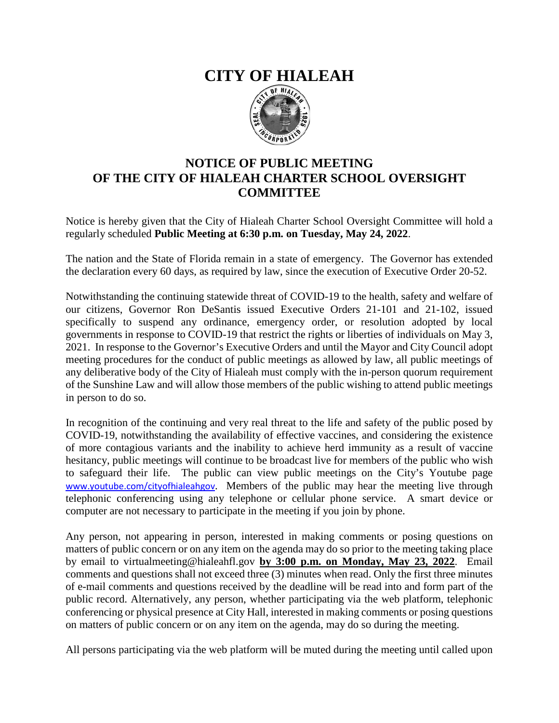# **CITY OF HIALEAH**



### **NOTICE OF PUBLIC MEETING OF THE CITY OF HIALEAH CHARTER SCHOOL OVERSIGHT COMMITTEE**

Notice is hereby given that the City of Hialeah Charter School Oversight Committee will hold a regularly scheduled **Public Meeting at 6:30 p.m. on Tuesday, May 24, 2022**.

The nation and the State of Florida remain in a state of emergency. The Governor has extended the declaration every 60 days, as required by law, since the execution of Executive Order 20-52.

Notwithstanding the continuing statewide threat of COVID-19 to the health, safety and welfare of our citizens, Governor Ron DeSantis issued Executive Orders 21-101 and 21-102, issued specifically to suspend any ordinance, emergency order, or resolution adopted by local governments in response to COVID-19 that restrict the rights or liberties of individuals on May 3, 2021. In response to the Governor's Executive Orders and until the Mayor and City Council adopt meeting procedures for the conduct of public meetings as allowed by law, all public meetings of any deliberative body of the City of Hialeah must comply with the in-person quorum requirement of the Sunshine Law and will allow those members of the public wishing to attend public meetings in person to do so.

In recognition of the continuing and very real threat to the life and safety of the public posed by COVID-19, notwithstanding the availability of effective vaccines, and considering the existence of more contagious variants and the inability to achieve herd immunity as a result of vaccine hesitancy, public meetings will continue to be broadcast live for members of the public who wish to safeguard their life. The public can view public meetings on the City's Youtube page [www.youtube.com/cityofhialeahgov](http://www.youtube.com/cityofhialeahgov). Members of the public may hear the meeting live through telephonic conferencing using any telephone or cellular phone service. A smart device or computer are not necessary to participate in the meeting if you join by phone.

Any person, not appearing in person, interested in making comments or posing questions on matters of public concern or on any item on the agenda may do so prior to the meeting taking place by email to virtualmeeting@hialeahfl.gov **by 3:00 p.m. on Monday, May 23, 2022**. Email comments and questions shall not exceed three (3) minutes when read. Only the first three minutes of e-mail comments and questions received by the deadline will be read into and form part of the public record. Alternatively, any person, whether participating via the web platform, telephonic conferencing or physical presence at City Hall, interested in making comments or posing questions on matters of public concern or on any item on the agenda, may do so during the meeting.

All persons participating via the web platform will be muted during the meeting until called upon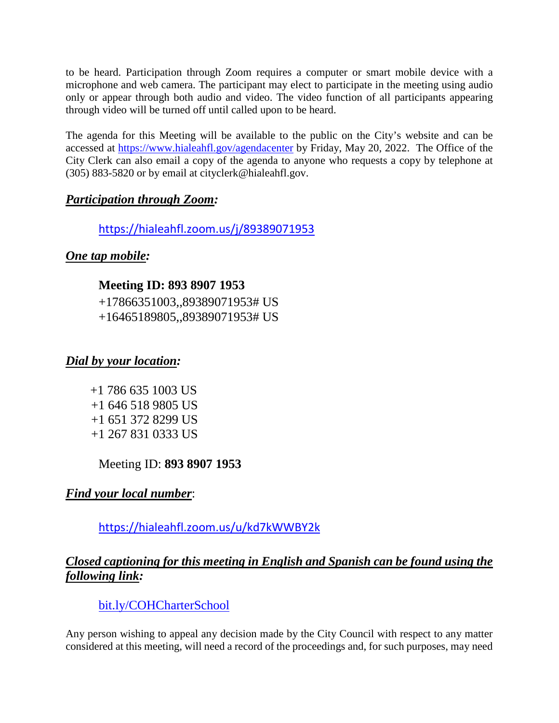to be heard. Participation through Zoom requires a computer or smart mobile device with a microphone and web camera. The participant may elect to participate in the meeting using audio only or appear through both audio and video. The video function of all participants appearing through video will be turned off until called upon to be heard.

The agenda for this Meeting will be available to the public on the City's website and can be accessed at<https://www.hialeahfl.gov/agendacenter> by Friday, May 20, 2022. The Office of the City Clerk can also email a copy of the agenda to anyone who requests a copy by telephone at (305) 883-5820 or by email at cityclerk@hialeahfl.gov.

#### *Participation through Zoom:*

<https://hialeahfl.zoom.us/j/89389071953>

*One tap mobile:*

## **Meeting ID: 893 8907 1953**

+17866351003,,89389071953# US +16465189805,,89389071953# US

#### *Dial by your location:*

+1 786 635 1003 US +1 646 518 9805 US +1 651 372 8299 US +1 267 831 0333 US

#### Meeting ID: **893 8907 1953**

## *Find your local number*:

<https://hialeahfl.zoom.us/u/kd7kWWBY2k>

## *Closed captioning for this meeting in English and Spanish can be found using the following link:*

[bit.ly/COHCharterSchool](http://bit.ly/COHCharterSchool)

Any person wishing to appeal any decision made by the City Council with respect to any matter considered at this meeting, will need a record of the proceedings and, for such purposes, may need